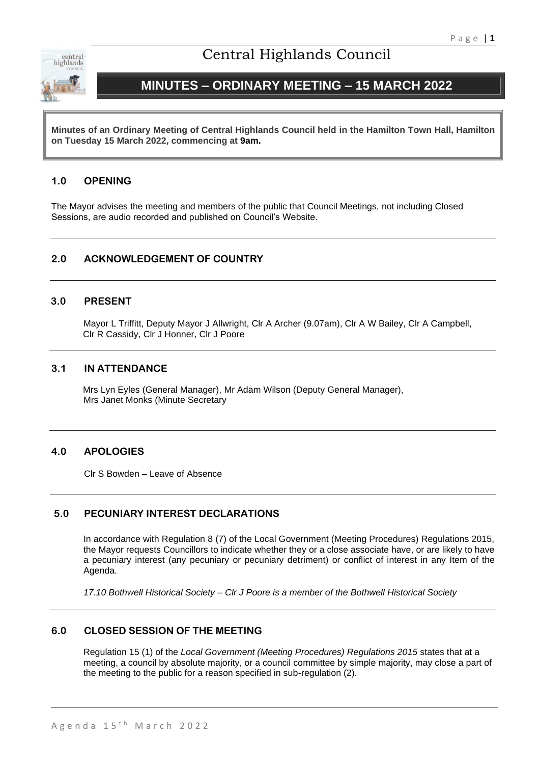

# Central Highlands Council

# **MINUTES – ORDINARY MEETING – 15 MARCH 2022**

**Minutes of an Ordinary Meeting of Central Highlands Council held in the Hamilton Town Hall, Hamilton on Tuesday 15 March 2022, commencing at 9am.**

## **1.0 OPENING**

The Mayor advises the meeting and members of the public that Council Meetings, not including Closed Sessions, are audio recorded and published on Council's Website.

## **2.0 ACKNOWLEDGEMENT OF COUNTRY**

## **3.0 PRESENT**

Mayor L Triffitt, Deputy Mayor J Allwright, Clr A Archer (9.07am), Clr A W Bailey, Clr A Campbell, Clr R Cassidy, Clr J Honner, Clr J Poore

## **3.1 IN ATTENDANCE**

Mrs Lyn Eyles (General Manager), Mr Adam Wilson (Deputy General Manager), Mrs Janet Monks (Minute Secretary

## **4.0 APOLOGIES**

Clr S Bowden – Leave of Absence

## **5.0 PECUNIARY INTEREST DECLARATIONS**

In accordance with Regulation 8 (7) of the Local Government (Meeting Procedures) Regulations 2015, the Mayor requests Councillors to indicate whether they or a close associate have, or are likely to have a pecuniary interest (any pecuniary or pecuniary detriment) or conflict of interest in any Item of the Agenda.

*17.10 Bothwell Historical Society – Clr J Poore is a member of the Bothwell Historical Society*

## **6.0 CLOSED SESSION OF THE MEETING**

Regulation 15 (1) of the *Local Government (Meeting Procedures) Regulations 2015* states that at a meeting, a council by absolute majority, or a council committee by simple majority, may close a part of the meeting to the public for a reason specified in sub-regulation (2).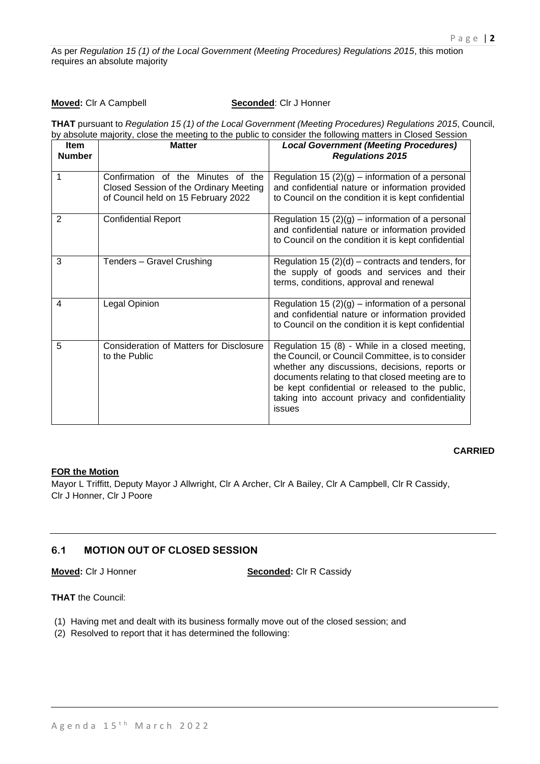As per *Regulation 15 (1) of the Local Government (Meeting Procedures) Regulations 2015*, this motion requires an absolute majority

#### **Moved:** CIr A Campbell **Seconded**: CIr J Honner

**THAT** pursuant to *Regulation 15 (1) of the Local Government (Meeting Procedures) Regulations 2015*, Council, by absolute majority, close the meeting to the public to consider the following matters in Closed Session

| <b>Item</b><br><b>Number</b> | <b>Matter</b>                                                                                                       | <b>Local Government (Meeting Procedures)</b><br><b>Regulations 2015</b>                                                                                                                                                                                                                                                   |
|------------------------------|---------------------------------------------------------------------------------------------------------------------|---------------------------------------------------------------------------------------------------------------------------------------------------------------------------------------------------------------------------------------------------------------------------------------------------------------------------|
| 1                            | Confirmation of the Minutes of the<br>Closed Session of the Ordinary Meeting<br>of Council held on 15 February 2022 | Regulation 15 $(2)(g)$ – information of a personal<br>and confidential nature or information provided<br>to Council on the condition it is kept confidential                                                                                                                                                              |
| 2                            | <b>Confidential Report</b>                                                                                          | Regulation 15 $(2)(g)$ – information of a personal<br>and confidential nature or information provided<br>to Council on the condition it is kept confidential                                                                                                                                                              |
| 3                            | Tenders - Gravel Crushing                                                                                           | Regulation 15 $(2)(d)$ – contracts and tenders, for<br>the supply of goods and services and their<br>terms, conditions, approval and renewal                                                                                                                                                                              |
| 4                            | Legal Opinion                                                                                                       | Regulation 15 $(2)(g)$ – information of a personal<br>and confidential nature or information provided<br>to Council on the condition it is kept confidential                                                                                                                                                              |
| 5                            | Consideration of Matters for Disclosure<br>to the Public                                                            | Regulation 15 (8) - While in a closed meeting,<br>the Council, or Council Committee, is to consider<br>whether any discussions, decisions, reports or<br>documents relating to that closed meeting are to<br>be kept confidential or released to the public,<br>taking into account privacy and confidentiality<br>issues |

#### **CARRIED**

## **FOR the Motion**

Mayor L Triffitt, Deputy Mayor J Allwright, Clr A Archer, Clr A Bailey, Clr A Campbell, Clr R Cassidy, Clr J Honner, Clr J Poore

## **6.1 MOTION OUT OF CLOSED SESSION**

**Moved:** Clr J Honner **Seconded:** Clr R Cassidy

## **THAT** the Council:

- (1) Having met and dealt with its business formally move out of the closed session; and
- (2) Resolved to report that it has determined the following: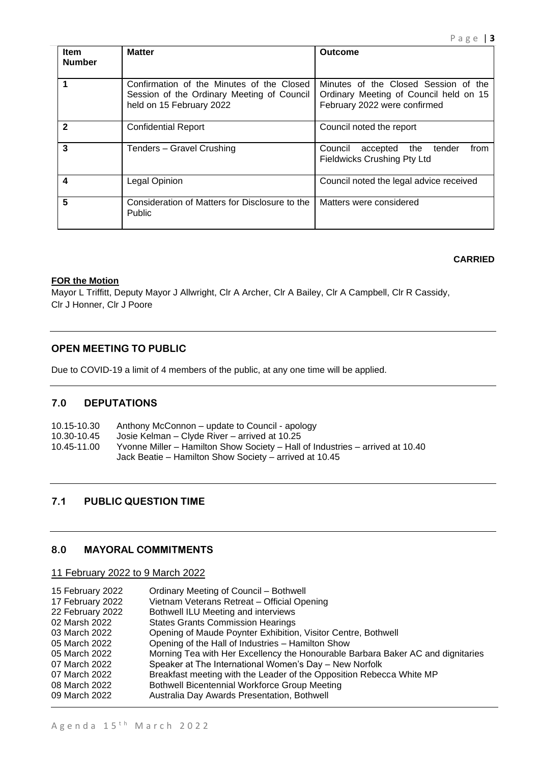| <b>Item</b><br><b>Number</b> | <b>Matter</b>                                                                                                       | <b>Outcome</b>                                                                                                 |
|------------------------------|---------------------------------------------------------------------------------------------------------------------|----------------------------------------------------------------------------------------------------------------|
|                              | Confirmation of the Minutes of the Closed<br>Session of the Ordinary Meeting of Council<br>held on 15 February 2022 | Minutes of the Closed Session of the<br>Ordinary Meeting of Council held on 15<br>February 2022 were confirmed |
| $\mathbf{2}$                 | <b>Confidential Report</b>                                                                                          | Council noted the report                                                                                       |
| 3                            | Tenders - Gravel Crushing                                                                                           | Council<br>the<br>from<br>tender<br>accepted<br><b>Fieldwicks Crushing Pty Ltd</b>                             |
| 4                            | Legal Opinion                                                                                                       | Council noted the legal advice received                                                                        |
| 5                            | Consideration of Matters for Disclosure to the<br><b>Public</b>                                                     | Matters were considered                                                                                        |

## **CARRIED**

## **FOR the Motion**

Mayor L Triffitt, Deputy Mayor J Allwright, Clr A Archer, Clr A Bailey, Clr A Campbell, Clr R Cassidy, Clr J Honner, Clr J Poore

## **OPEN MEETING TO PUBLIC**

Due to COVID-19 a limit of 4 members of the public, at any one time will be applied.

## **7.0 DEPUTATIONS**

| 10.15-10.30 | Anthony McConnon – update to Council - apology                                                                                          |
|-------------|-----------------------------------------------------------------------------------------------------------------------------------------|
| 10.30-10.45 | Josie Kelman – Clyde River – arrived at 10.25                                                                                           |
| 10.45-11.00 | Yvonne Miller – Hamilton Show Society – Hall of Industries – arrived at 10.40<br>Jack Beatie – Hamilton Show Society – arrived at 10.45 |

## **7.1 PUBLIC QUESTION TIME**

## **8.0 MAYORAL COMMITMENTS**

11 February 2022 to 9 March 2022

| 15 February 2022 | Ordinary Meeting of Council - Bothwell                                          |
|------------------|---------------------------------------------------------------------------------|
| 17 February 2022 | Vietnam Veterans Retreat - Official Opening                                     |
| 22 February 2022 | Bothwell ILU Meeting and interviews                                             |
| 02 Marsh 2022    | <b>States Grants Commission Hearings</b>                                        |
| 03 March 2022    | Opening of Maude Poynter Exhibition, Visitor Centre, Bothwell                   |
| 05 March 2022    | Opening of the Hall of Industries - Hamilton Show                               |
| 05 March 2022    | Morning Tea with Her Excellency the Honourable Barbara Baker AC and dignitaries |
| 07 March 2022    | Speaker at The International Women's Day - New Norfolk                          |
| 07 March 2022    | Breakfast meeting with the Leader of the Opposition Rebecca White MP            |
| 08 March 2022    | Bothwell Bicentennial Workforce Group Meeting                                   |
| 09 March 2022    | Australia Day Awards Presentation, Bothwell                                     |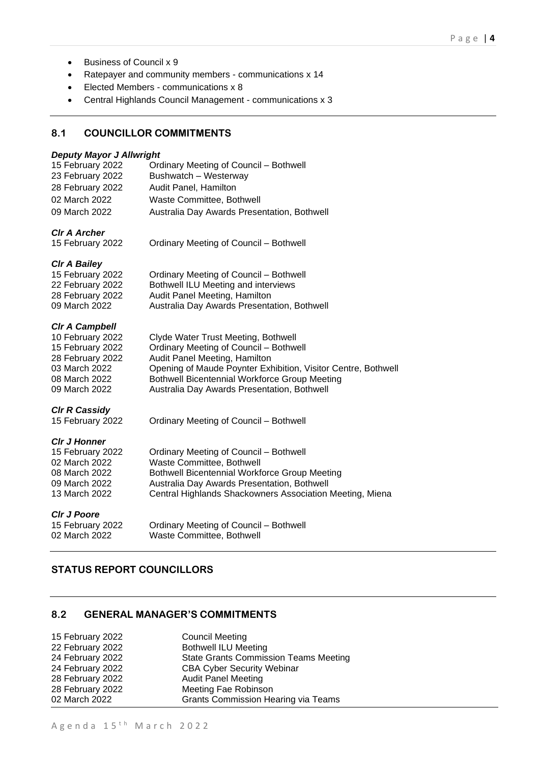- Business of Council x 9
- Ratepayer and community members communications x 14
- Elected Members communications x 8
- Central Highlands Council Management communications x 3

## **8.1 COUNCILLOR COMMITMENTS**

## *Deputy Mayor J Allwright*

| Ordinary Meeting of Council - Bothwell      |
|---------------------------------------------|
| Bushwatch - Westerway                       |
| Audit Panel, Hamilton                       |
| Waste Committee, Bothwell                   |
| Australia Day Awards Presentation, Bothwell |
|                                             |

*Clr A Archer*

Ordinary Meeting of Council – Bothwell

#### *Clr A Bailey*

| 15 February 2022 | Ordinary Meeting of Council - Bothwell      |
|------------------|---------------------------------------------|
| 22 February 2022 | Bothwell ILU Meeting and interviews         |
| 28 February 2022 | Audit Panel Meeting, Hamilton               |
| 09 March 2022    | Australia Day Awards Presentation, Bothwell |

#### *Clr A Campbell*

| 10 February 2022 | Clyde Water Trust Meeting, Bothwell                           |
|------------------|---------------------------------------------------------------|
| 15 February 2022 | Ordinary Meeting of Council - Bothwell                        |
| 28 February 2022 | Audit Panel Meeting, Hamilton                                 |
| 03 March 2022    | Opening of Maude Poynter Exhibition, Visitor Centre, Bothwell |
| 08 March 2022    | <b>Bothwell Bicentennial Workforce Group Meeting</b>          |
| 09 March 2022    | Australia Day Awards Presentation, Bothwell                   |
|                  |                                                               |

## *Clr R Cassidy*

15 February 2022 Ordinary Meeting of Council – Bothwell

## *Clr J Honner*

| Central Highlands Shackowners Association Meeting, Miena |
|----------------------------------------------------------|
|                                                          |

#### *Clr J Poore*

15 February 2022 Ordinary Meeting of Council – Bothwell 02 March 2022 Waste Committee, Bothwell

## **STATUS REPORT COUNCILLORS**

## **8.2 GENERAL MANAGER'S COMMITMENTS**

| <b>Council Meeting</b>                       |
|----------------------------------------------|
| <b>Bothwell ILU Meeting</b>                  |
| <b>State Grants Commission Teams Meeting</b> |
| <b>CBA Cyber Security Webinar</b>            |
| <b>Audit Panel Meeting</b>                   |
| Meeting Fae Robinson                         |
| <b>Grants Commission Hearing via Teams</b>   |
|                                              |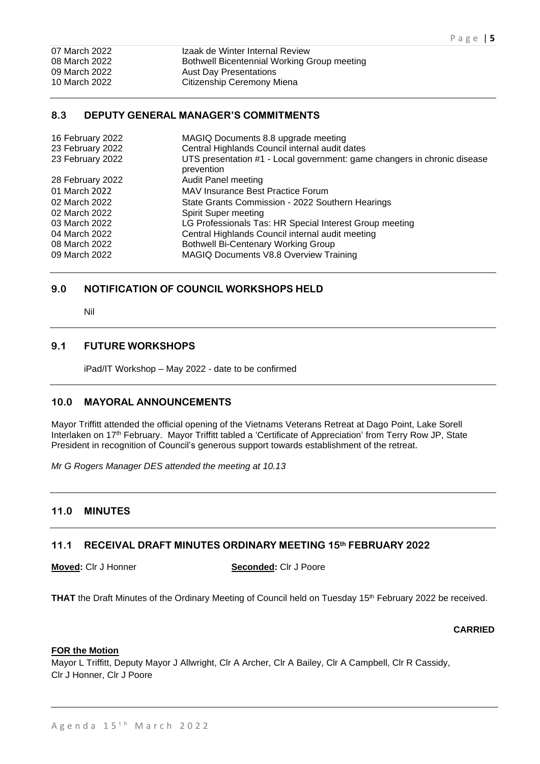| 07 March 2022 | Izaak de Winter Internal Review             |
|---------------|---------------------------------------------|
| 08 March 2022 | Bothwell Bicentennial Working Group meeting |
| 09 March 2022 | <b>Aust Day Presentations</b>               |
| 10 March 2022 | Citizenship Ceremony Miena                  |

## **8.3 DEPUTY GENERAL MANAGER'S COMMITMENTS**

| MAGIQ Documents 8.8 upgrade meeting<br>Central Highlands Council internal audit dates<br>UTS presentation #1 - Local government: game changers in chronic disease<br>prevention |
|---------------------------------------------------------------------------------------------------------------------------------------------------------------------------------|
| <b>Audit Panel meeting</b>                                                                                                                                                      |
| <b>MAV Insurance Best Practice Forum</b>                                                                                                                                        |
| State Grants Commission - 2022 Southern Hearings                                                                                                                                |
| Spirit Super meeting                                                                                                                                                            |
| LG Professionals Tas: HR Special Interest Group meeting                                                                                                                         |
| Central Highlands Council internal audit meeting                                                                                                                                |
| <b>Bothwell Bi-Centenary Working Group</b>                                                                                                                                      |
| MAGIQ Documents V8.8 Overview Training                                                                                                                                          |
|                                                                                                                                                                                 |

## **9.0 NOTIFICATION OF COUNCIL WORKSHOPS HELD**

Nil

## **9.1 FUTURE WORKSHOPS**

iPad/IT Workshop – May 2022 - date to be confirmed

## **10.0 MAYORAL ANNOUNCEMENTS**

Mayor Triffitt attended the official opening of the Vietnams Veterans Retreat at Dago Point, Lake Sorell Interlaken on 17th February. Mayor Triffitt tabled a 'Certificate of Appreciation' from Terry Row JP, State President in recognition of Council's generous support towards establishment of the retreat.

*Mr G Rogers Manager DES attended the meeting at 10.13*

## **11.0 MINUTES**

## **11.1 RECEIVAL DRAFT MINUTES ORDINARY MEETING 15th FEBRUARY 2022**

**Moved:** Clr J Honner **Seconded:** Clr J Poore

**THAT** the Draft Minutes of the Ordinary Meeting of Council held on Tuesday 15<sup>th</sup> February 2022 be received.

#### **CARRIED**

#### **FOR the Motion**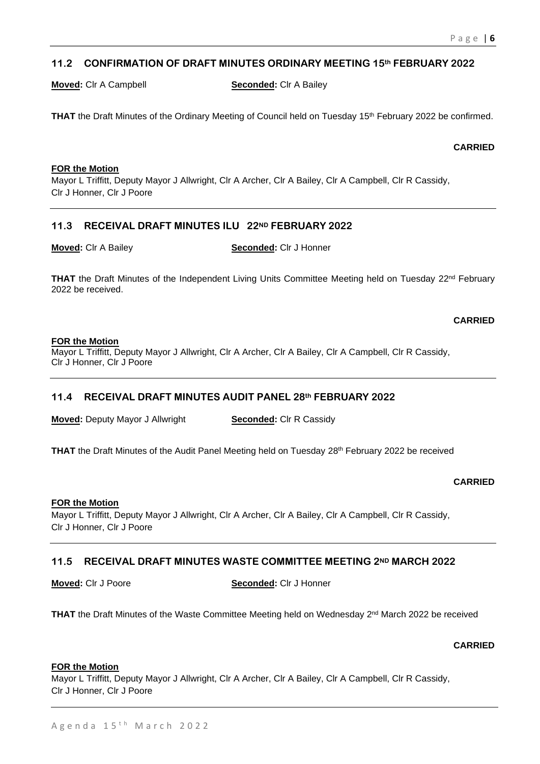## **11.2 CONFIRMATION OF DRAFT MINUTES ORDINARY MEETING 15th FEBRUARY 2022**

**Moved:** Clr A Campbell **Seconded:** Clr A Bailey

**THAT** the Draft Minutes of the Ordinary Meeting of Council held on Tuesday 15<sup>th</sup> February 2022 be confirmed.

#### **CARRIED**

#### **FOR the Motion**

Mayor L Triffitt, Deputy Mayor J Allwright, Clr A Archer, Clr A Bailey, Clr A Campbell, Clr R Cassidy, Clr J Honner, Clr J Poore

## **11.3 RECEIVAL DRAFT MINUTES ILU 22ND FEBRUARY 2022**

**Moved:** Clr A Bailey **Seconded:** Clr J Honner

**THAT** the Draft Minutes of the Independent Living Units Committee Meeting held on Tuesday 22<sup>nd</sup> February 2022 be received.

**CARRIED**

## **FOR the Motion**

Mayor L Triffitt, Deputy Mayor J Allwright, Clr A Archer, Clr A Bailey, Clr A Campbell, Clr R Cassidy, Clr J Honner, Clr J Poore

## **11.4 RECEIVAL DRAFT MINUTES AUDIT PANEL 28th FEBRUARY 2022**

**Moved:** Deputy Mayor J Allwright **Seconded:** Clr R Cassidy

**THAT** the Draft Minutes of the Audit Panel Meeting held on Tuesday 28<sup>th</sup> February 2022 be received

## **CARRIED**

#### **FOR the Motion**

Mayor L Triffitt, Deputy Mayor J Allwright, Clr A Archer, Clr A Bailey, Clr A Campbell, Clr R Cassidy, Clr J Honner, Clr J Poore

## **11.5 RECEIVAL DRAFT MINUTES WASTE COMMITTEE MEETING 2ND MARCH 2022**

**Moved:** Clr J Poore **Seconded:** Clr J Honner

**THAT** the Draft Minutes of the Waste Committee Meeting held on Wednesday 2<sup>nd</sup> March 2022 be received

## **CARRIED**

#### **FOR the Motion**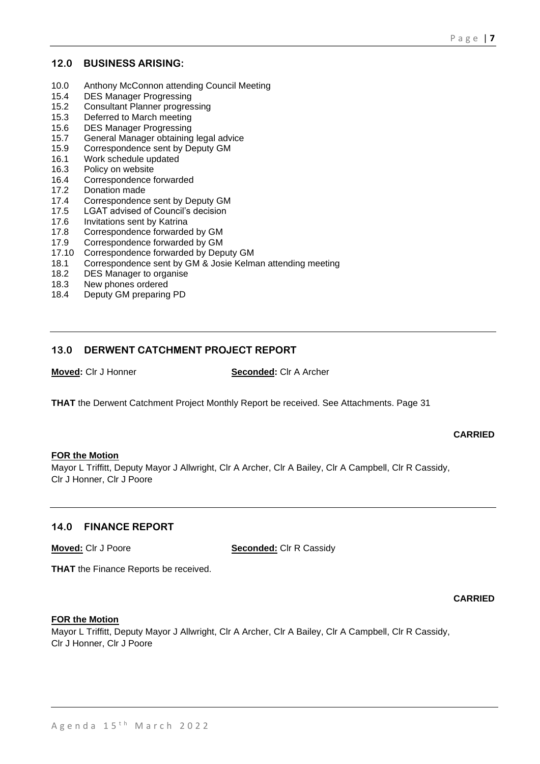## **12.0 BUSINESS ARISING:**

- 10.0 Anthony McConnon attending Council Meeting
- 15.4 DES Manager Progressing
- 15.2 Consultant Planner progressing
- 15.3 Deferred to March meeting
- 15.6 DES Manager Progressing
- 15.7 General Manager obtaining legal advice
- 15.9 Correspondence sent by Deputy GM
- 16.1 Work schedule updated
- 16.3 Policy on website
- 16.4 Correspondence forwarded
- 17.2 Donation made
- 17.4 Correspondence sent by Deputy GM
- 17.5 LGAT advised of Council's decision
- 17.6 Invitations sent by Katrina
- 17.8 Correspondence forwarded by GM
- 17.9 Correspondence forwarded by GM
- 17.10 Correspondence forwarded by Deputy GM
- 18.1 Correspondence sent by GM & Josie Kelman attending meeting<br>18.2 DES Manager to organise
- DES Manager to organise
- 18.3 New phones ordered
- 18.4 Deputy GM preparing PD

## **13.0 DERWENT CATCHMENT PROJECT REPORT**

## **Moved:** Clr J Honner **Seconded:** Clr A Archer

**THAT** the Derwent Catchment Project Monthly Report be received. See Attachments. Page 31

## **CARRIED**

#### **FOR the Motion**

Mayor L Triffitt, Deputy Mayor J Allwright, Clr A Archer, Clr A Bailey, Clr A Campbell, Clr R Cassidy, Clr J Honner, Clr J Poore

## **14.0 FINANCE REPORT**

**Moved:** Clr J Poore **Seconded:** Clr R Cassidy

**THAT** the Finance Reports be received.

## **CARRIED**

## **FOR the Motion**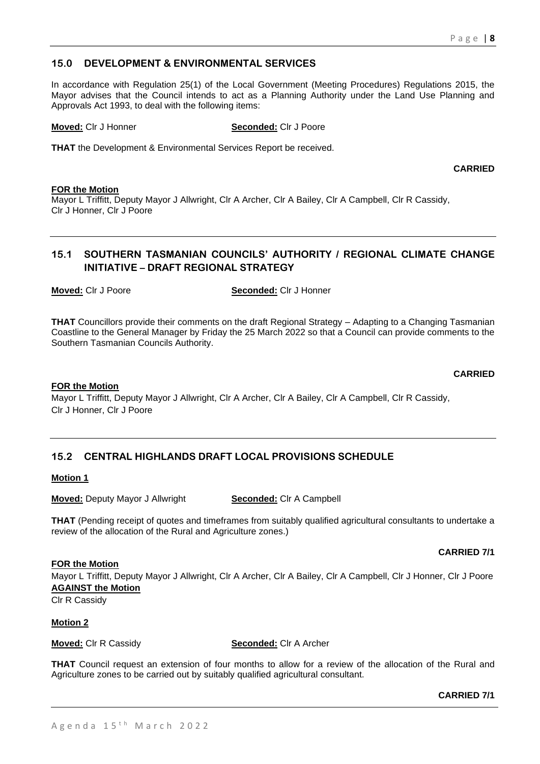## A g e n d a  $15<sup>th</sup>$  M a r c h  $2022$

## **15.0 DEVELOPMENT & ENVIRONMENTAL SERVICES**

In accordance with Regulation 25(1) of the Local Government (Meeting Procedures) Regulations 2015, the Mayor advises that the Council intends to act as a Planning Authority under the Land Use Planning and Approvals Act 1993, to deal with the following items:

**Moved:** Clr J Honner **Seconded:** Clr J Poore

**THAT** the Development & Environmental Services Report be received.

**CARRIED**

#### **FOR the Motion**

Mayor L Triffitt, Deputy Mayor J Allwright, Clr A Archer, Clr A Bailey, Clr A Campbell, Clr R Cassidy, Clr J Honner, Clr J Poore

## **15.1 SOUTHERN TASMANIAN COUNCILS' AUTHORITY / REGIONAL CLIMATE CHANGE INITIATIVE – DRAFT REGIONAL STRATEGY**

**Moved:** Clr J Poore **Seconded:** Clr J Honner

**THAT** Councillors provide their comments on the draft Regional Strategy – Adapting to a Changing Tasmanian Coastline to the General Manager by Friday the 25 March 2022 so that a Council can provide comments to the Southern Tasmanian Councils Authority.

#### **FOR the Motion**

Mayor L Triffitt, Deputy Mayor J Allwright, Clr A Archer, Clr A Bailey, Clr A Campbell, Clr R Cassidy, Clr J Honner, Clr J Poore

## **15.2 CENTRAL HIGHLANDS DRAFT LOCAL PROVISIONS SCHEDULE**

#### **Motion 1**

**Moved:** Deputy Mayor J Allwright **Seconded:** Clr A Campbell

**THAT** (Pending receipt of quotes and timeframes from suitably qualified agricultural consultants to undertake a review of the allocation of the Rural and Agriculture zones.)

#### **CARRIED 7/1**

Mayor L Triffitt, Deputy Mayor J Allwright, Clr A Archer, Clr A Bailey, Clr A Campbell, Clr J Honner, Clr J Poore **AGAINST the Motion**

Clr R Cassidy

**FOR the Motion**

**Motion 2**

**Moved:** Clr R Cassidy **Seconded:** Clr A Archer

**THAT** Council request an extension of four months to allow for a review of the allocation of the Rural and Agriculture zones to be carried out by suitably qualified agricultural consultant.

**CARRIED 7/1**

**CARRIED**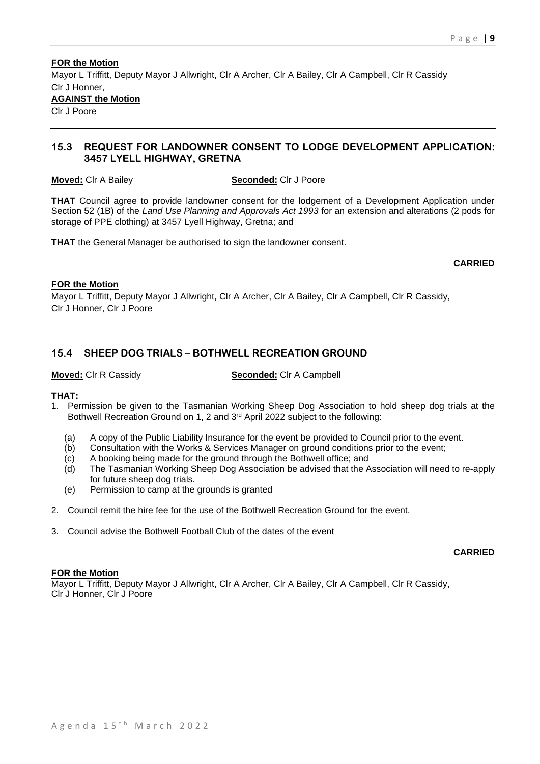## **FOR the Motion** Mayor L Triffitt, Deputy Mayor J Allwright, Clr A Archer, Clr A Bailey, Clr A Campbell, Clr R Cassidy Clr J Honner, **AGAINST the Motion**

Clr J Poore

## **15.3 REQUEST FOR LANDOWNER CONSENT TO LODGE DEVELOPMENT APPLICATION: 3457 LYELL HIGHWAY, GRETNA**

**Moved:** Clr A Bailey **Seconded:** Clr J Poore

**THAT** Council agree to provide landowner consent for the lodgement of a Development Application under Section 52 (1B) of the *Land Use Planning and Approvals Act 1993* for an extension and alterations (2 pods for storage of PPE clothing) at 3457 Lyell Highway, Gretna; and

**THAT** the General Manager be authorised to sign the landowner consent.

## **CARRIED**

## **FOR the Motion**

Mayor L Triffitt, Deputy Mayor J Allwright, Clr A Archer, Clr A Bailey, Clr A Campbell, Clr R Cassidy, Clr J Honner, Clr J Poore

## **15.4 SHEEP DOG TRIALS – BOTHWELL RECREATION GROUND**

**Moved:** Clr R Cassidy **Seconded:** Clr A Campbell

## **THAT:**

- 1. Permission be given to the Tasmanian Working Sheep Dog Association to hold sheep dog trials at the Bothwell Recreation Ground on 1, 2 and 3rd April 2022 subject to the following:
	- (a) A copy of the Public Liability Insurance for the event be provided to Council prior to the event.
	- (b) Consultation with the Works & Services Manager on ground conditions prior to the event;
	- (c) A booking being made for the ground through the Bothwell office; and
	- (d) The Tasmanian Working Sheep Dog Association be advised that the Association will need to re-apply for future sheep dog trials.
	- (e) Permission to camp at the grounds is granted
- 2. Council remit the hire fee for the use of the Bothwell Recreation Ground for the event.
- 3. Council advise the Bothwell Football Club of the dates of the event

## **CARRIED**

## **FOR the Motion**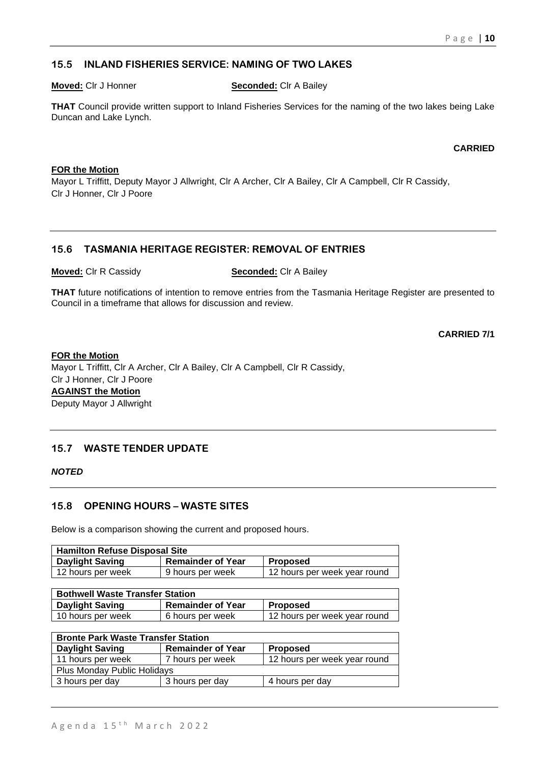## **15.5 INLAND FISHERIES SERVICE: NAMING OF TWO LAKES**

**Moved:** Clr J Honner **Seconded:** Clr A Bailey

**THAT** Council provide written support to Inland Fisheries Services for the naming of the two lakes being Lake Duncan and Lake Lynch.

**CARRIED**

## **FOR the Motion**

Mayor L Triffitt, Deputy Mayor J Allwright, Clr A Archer, Clr A Bailey, Clr A Campbell, Clr R Cassidy, Clr J Honner, Clr J Poore

## **15.6 TASMANIA HERITAGE REGISTER: REMOVAL OF ENTRIES**

**Moved:** Clr R Cassidy **Seconded:** Clr A Bailey

**THAT** future notifications of intention to remove entries from the Tasmania Heritage Register are presented to Council in a timeframe that allows for discussion and review.

**CARRIED 7/1**

## **FOR the Motion**

Mayor L Triffitt, Clr A Archer, Clr A Bailey, Clr A Campbell, Clr R Cassidy, Clr J Honner, Clr J Poore **AGAINST the Motion** Deputy Mayor J Allwright

## **15.7 WASTE TENDER UPDATE**

## *NOTED*

## **15.8 OPENING HOURS – WASTE SITES**

Below is a comparison showing the current and proposed hours.

| <b>Hamilton Refuse Disposal Site</b> |                          |                              |  |
|--------------------------------------|--------------------------|------------------------------|--|
| <b>Daylight Saving</b>               | <b>Remainder of Year</b> | <b>Proposed</b>              |  |
| 12 hours per week                    | 9 hours per week         | 12 hours per week year round |  |

| <b>Bothwell Waste Transfer Station</b> |                          |                              |  |
|----------------------------------------|--------------------------|------------------------------|--|
| Daylight Saving                        | <b>Remainder of Year</b> | <b>Proposed</b>              |  |
| 10 hours per week                      | 6 hours per week         | 12 hours per week year round |  |

| <b>Bronte Park Waste Transfer Station</b> |                          |                              |  |  |
|-------------------------------------------|--------------------------|------------------------------|--|--|
| <b>Daylight Saving</b>                    | <b>Remainder of Year</b> | <b>Proposed</b>              |  |  |
| 11 hours per week                         | 7 hours per week         | 12 hours per week year round |  |  |
| <b>Plus Monday Public Holidays</b>        |                          |                              |  |  |
| 3 hours per day                           | 3 hours per day          | 4 hours per day              |  |  |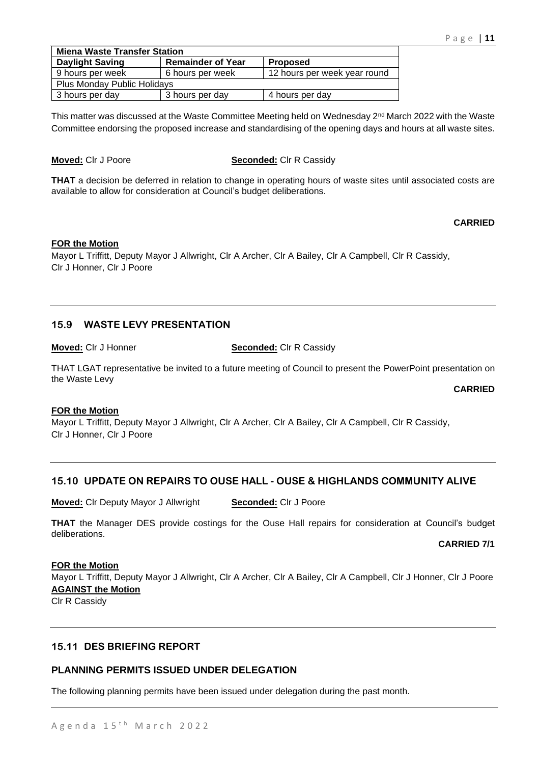| <b>Miena Waste Transfer Station</b> |                          |                              |  |  |
|-------------------------------------|--------------------------|------------------------------|--|--|
| <b>Daylight Saving</b>              | <b>Remainder of Year</b> | <b>Proposed</b>              |  |  |
| 9 hours per week                    | 6 hours per week         | 12 hours per week year round |  |  |
| <b>Plus Monday Public Holidays</b>  |                          |                              |  |  |
| 3 hours per day                     | 3 hours per day          | 4 hours per day              |  |  |

This matter was discussed at the Waste Committee Meeting held on Wednesday 2<sup>nd</sup> March 2022 with the Waste Committee endorsing the proposed increase and standardising of the opening days and hours at all waste sites.

#### **Moved:** Clr J Poore **Seconded:** Clr R Cassidy

**THAT** a decision be deferred in relation to change in operating hours of waste sites until associated costs are available to allow for consideration at Council's budget deliberations.

## **CARRIED**

## **FOR the Motion**

Mayor L Triffitt, Deputy Mayor J Allwright, Clr A Archer, Clr A Bailey, Clr A Campbell, Clr R Cassidy, Clr J Honner, Clr J Poore

## **15.9 WASTE LEVY PRESENTATION**

**Moved:** Clr J Honner **Seconded:** Clr R Cassidy

THAT LGAT representative be invited to a future meeting of Council to present the PowerPoint presentation on the Waste Levy

**CARRIED** 

## **FOR the Motion**

Mayor L Triffitt, Deputy Mayor J Allwright, Clr A Archer, Clr A Bailey, Clr A Campbell, Clr R Cassidy, Clr J Honner, Clr J Poore

## **15.10 UPDATE ON REPAIRS TO OUSE HALL - OUSE & HIGHLANDS COMMUNITY ALIVE**

**Moved:** Clr Deputy Mayor J Allwright **Seconded:** Clr J Poore

**THAT** the Manager DES provide costings for the Ouse Hall repairs for consideration at Council's budget deliberations.

## **CARRIED 7/1**

## **FOR the Motion**

Mayor L Triffitt, Deputy Mayor J Allwright, Clr A Archer, Clr A Bailey, Clr A Campbell, Clr J Honner, Clr J Poore **AGAINST the Motion**

Clr R Cassidy

## **15.11 DES BRIEFING REPORT**

## **PLANNING PERMITS ISSUED UNDER DELEGATION**

The following planning permits have been issued under delegation during the past month.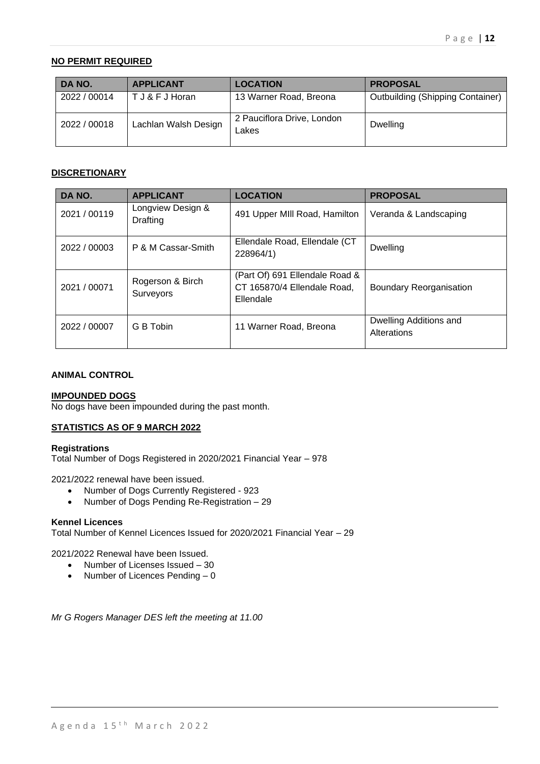## **NO PERMIT REQUIRED**

| DA NO.       | <b>APPLICANT</b>     | <b>LOCATION</b>                     | <b>PROPOSAL</b>                         |
|--------------|----------------------|-------------------------------------|-----------------------------------------|
| 2022 / 00014 | T J & F J Horan      | 13 Warner Road, Breona              | <b>Outbuilding (Shipping Container)</b> |
| 2022 / 00018 | Lachlan Walsh Design | 2 Pauciflora Drive, London<br>_akes | Dwelling                                |

#### **DISCRETIONARY**

| DA NO.       | <b>APPLICANT</b>                     | <b>LOCATION</b>                                                            | <b>PROPOSAL</b>                       |
|--------------|--------------------------------------|----------------------------------------------------------------------------|---------------------------------------|
| 2021 / 00119 | Longview Design &<br><b>Drafting</b> | 491 Upper MIII Road, Hamilton                                              | Veranda & Landscaping                 |
| 2022 / 00003 | P & M Cassar-Smith                   | Ellendale Road, Ellendale (CT<br>228964/1)                                 | Dwelling                              |
| 2021 / 00071 | Rogerson & Birch<br>Surveyors        | (Part Of) 691 Ellendale Road &<br>CT 165870/4 Ellendale Road,<br>Ellendale | <b>Boundary Reorganisation</b>        |
| 2022 / 00007 | G B Tobin                            | 11 Warner Road, Breona                                                     | Dwelling Additions and<br>Alterations |

#### **ANIMAL CONTROL**

#### **IMPOUNDED DOGS**

No dogs have been impounded during the past month.

## **STATISTICS AS OF 9 MARCH 2022**

#### **Registrations**

Total Number of Dogs Registered in 2020/2021 Financial Year – 978

2021/2022 renewal have been issued.

- Number of Dogs Currently Registered 923
- Number of Dogs Pending Re-Registration 29

#### **Kennel Licences**

Total Number of Kennel Licences Issued for 2020/2021 Financial Year – 29

2021/2022 Renewal have been Issued.

- Number of Licenses Issued 30
- Number of Licences Pending 0

*Mr G Rogers Manager DES left the meeting at 11.00*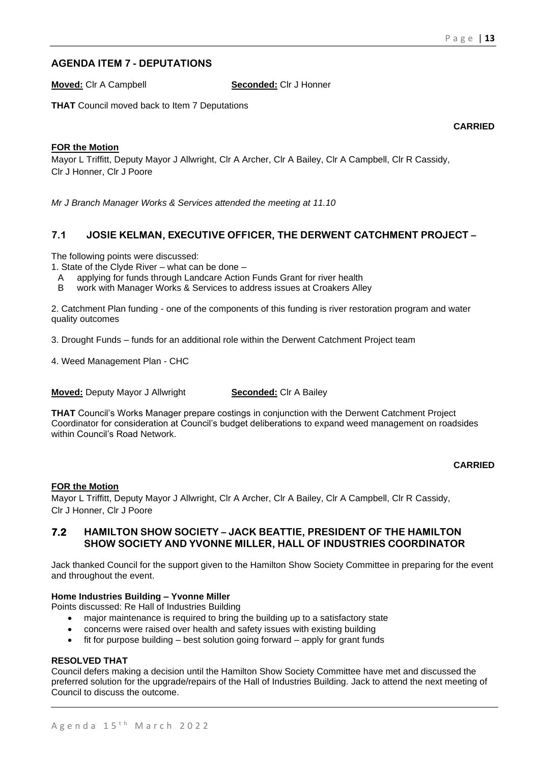## **AGENDA ITEM 7 - DEPUTATIONS**

**Moved:** Clr A Campbell **Seconded:** Clr J Honner

**THAT** Council moved back to Item 7 Deputations

**CARRIED**

## **FOR the Motion**

Mayor L Triffitt, Deputy Mayor J Allwright, Clr A Archer, Clr A Bailey, Clr A Campbell, Clr R Cassidy, Clr J Honner, Clr J Poore

*Mr J Branch Manager Works & Services attended the meeting at 11.10*

## **7.1 JOSIE KELMAN, EXECUTIVE OFFICER, THE DERWENT CATCHMENT PROJECT –**

The following points were discussed:

1. State of the Clyde River – what can be done –

- A applying for funds through Landcare Action Funds Grant for river health
- B work with Manager Works & Services to address issues at Croakers Alley

2. Catchment Plan funding - one of the components of this funding is river restoration program and water quality outcomes

3. Drought Funds – funds for an additional role within the Derwent Catchment Project team

4. Weed Management Plan - CHC

**Moved:** Deputy Mayor J Allwright **Seconded:** Clr A Bailey

**THAT** Council's Works Manager prepare costings in conjunction with the Derwent Catchment Project Coordinator for consideration at Council's budget deliberations to expand weed management on roadsides within Council's Road Network.

#### **CARRIED**

## **FOR the Motion**

Mayor L Triffitt, Deputy Mayor J Allwright, Clr A Archer, Clr A Bailey, Clr A Campbell, Clr R Cassidy, Clr J Honner, Clr J Poore

## **7.2 HAMILTON SHOW SOCIETY – JACK BEATTIE, PRESIDENT OF THE HAMILTON SHOW SOCIETY AND YVONNE MILLER, HALL OF INDUSTRIES COORDINATOR**

Jack thanked Council for the support given to the Hamilton Show Society Committee in preparing for the event and throughout the event.

## **Home Industries Building – Yvonne Miller**

Points discussed: Re Hall of Industries Building

- major maintenance is required to bring the building up to a satisfactory state
- concerns were raised over health and safety issues with existing building
- fit for purpose building best solution going forward apply for grant funds

#### **RESOLVED THAT**

Council defers making a decision until the Hamilton Show Society Committee have met and discussed the preferred solution for the upgrade/repairs of the Hall of Industries Building. Jack to attend the next meeting of Council to discuss the outcome.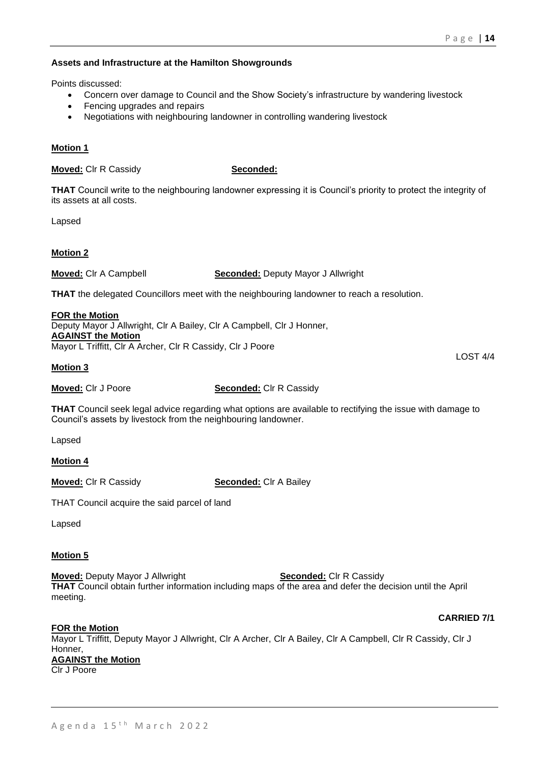## **Assets and Infrastructure at the Hamilton Showgrounds**

Points discussed:

- Concern over damage to Council and the Show Society's infrastructure by wandering livestock
- Fencing upgrades and repairs
- Negotiations with neighbouring landowner in controlling wandering livestock

## **Motion 1**

**Moved:** Clr R Cassidy **Seconded:** 

**THAT** Council write to the neighbouring landowner expressing it is Council's priority to protect the integrity of its assets at all costs.

Lapsed

## **Motion 2**

**Moved:** Clr A Campbell **Seconded:** Deputy Mayor J Allwright

**THAT** the delegated Councillors meet with the neighbouring landowner to reach a resolution.

#### **FOR the Motion**

Deputy Mayor J Allwright, Clr A Bailey, Clr A Campbell, Clr J Honner, **AGAINST the Motion** Mayor L Triffitt, Clr A Archer, Clr R Cassidy, Clr J Poore

#### **Motion 3**

**Moved:** Clr J Poore **Seconded:** Clr R Cassidy

**THAT** Council seek legal advice regarding what options are available to rectifying the issue with damage to Council's assets by livestock from the neighbouring landowner.

Lapsed

**Motion 4**

**Moved:** Clr R Cassidy **Seconded:** Clr A Bailey

THAT Council acquire the said parcel of land

Lapsed

## **Motion 5**

**Moved:** Deputy Mayor J Allwright **Seconded:** Clr R Cassidy **THAT** Council obtain further information including maps of the area and defer the decision until the April meeting.

## **CARRIED 7/1**

LOST 4/4

## **FOR the Motion**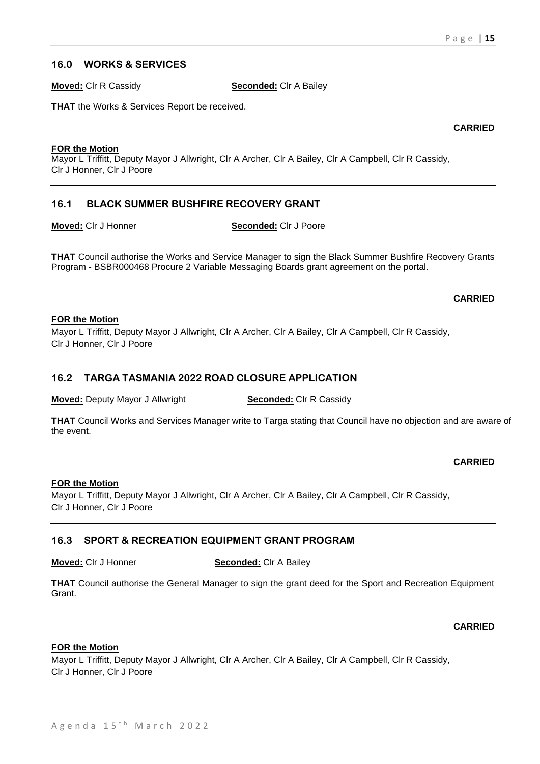## **16.0 WORKS & SERVICES**

**Moved:** Clr R Cassidy **Seconded:** Clr A Bailey

**THAT** the Works & Services Report be received.

**CARRIED**

#### **FOR the Motion**

Mayor L Triffitt, Deputy Mayor J Allwright, Clr A Archer, Clr A Bailey, Clr A Campbell, Clr R Cassidy, Clr J Honner, Clr J Poore

## **16.1 BLACK SUMMER BUSHFIRE RECOVERY GRANT**

**Moved:** Clr J Honner **Seconded:** Clr J Poore

**THAT** Council authorise the Works and Service Manager to sign the Black Summer Bushfire Recovery Grants Program - BSBR000468 Procure 2 Variable Messaging Boards grant agreement on the portal.

## **CARRIED**

#### **FOR the Motion**

Mayor L Triffitt, Deputy Mayor J Allwright, Clr A Archer, Clr A Bailey, Clr A Campbell, Clr R Cassidy, Clr J Honner, Clr J Poore

## **16.2 TARGA TASMANIA 2022 ROAD CLOSURE APPLICATION**

**Moved:** Deputy Mayor J Allwright **Seconded:** Clr R Cassidy

**THAT** Council Works and Services Manager write to Targa stating that Council have no objection and are aware of the event.

## **CARRIED**

## **FOR the Motion**

Mayor L Triffitt, Deputy Mayor J Allwright, Clr A Archer, Clr A Bailey, Clr A Campbell, Clr R Cassidy, Clr J Honner, Clr J Poore

## **16.3 SPORT & RECREATION EQUIPMENT GRANT PROGRAM**

**Moved:** Clr J Honner **Seconded:** Clr A Bailey

**THAT** Council authorise the General Manager to sign the grant deed for the Sport and Recreation Equipment Grant.

## **CARRIED**

## **FOR the Motion**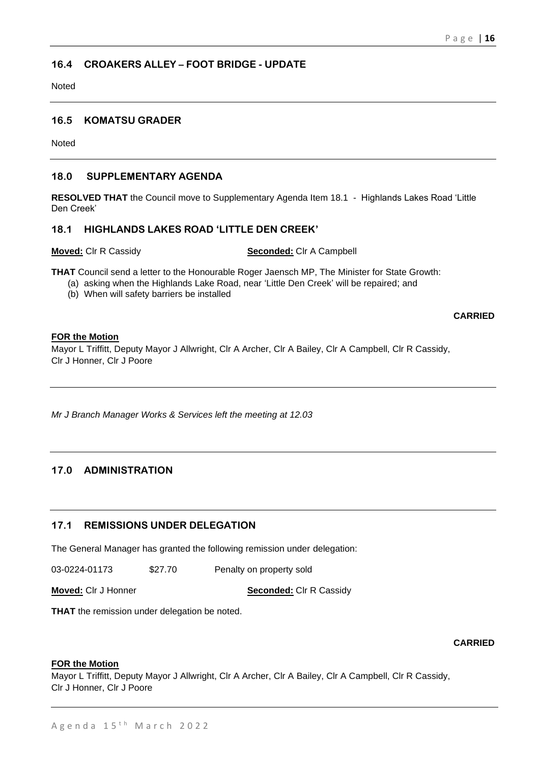## **16.4 CROAKERS ALLEY – FOOT BRIDGE - UPDATE**

Noted

## **16.5 KOMATSU GRADER**

Noted

## **18.0 SUPPLEMENTARY AGENDA**

**RESOLVED THAT** the Council move to Supplementary Agenda Item 18.1 - Highlands Lakes Road 'Little Den Creek'

## **18.1 HIGHLANDS LAKES ROAD 'LITTLE DEN CREEK'**

**Moved:** Clr R Cassidy **Seconded:** Clr A Campbell

**THAT** Council send a letter to the Honourable Roger Jaensch MP, The Minister for State Growth:

- (a) asking when the Highlands Lake Road, near 'Little Den Creek' will be repaired; and
- (b) When will safety barriers be installed

**CARRIED**

#### **FOR the Motion**

Mayor L Triffitt, Deputy Mayor J Allwright, Clr A Archer, Clr A Bailey, Clr A Campbell, Clr R Cassidy, Clr J Honner, Clr J Poore

*Mr J Branch Manager Works & Services left the meeting at 12.03*

## **17.0 ADMINISTRATION**

## **17.1 REMISSIONS UNDER DELEGATION**

The General Manager has granted the following remission under delegation:

03-0224-01173 \$27.70 Penalty on property sold

**Moved:** Cir J Honner **Seconded:** Cir R Cassidy

**THAT** the remission under delegation be noted.

#### **CARRIED**

## **FOR the Motion**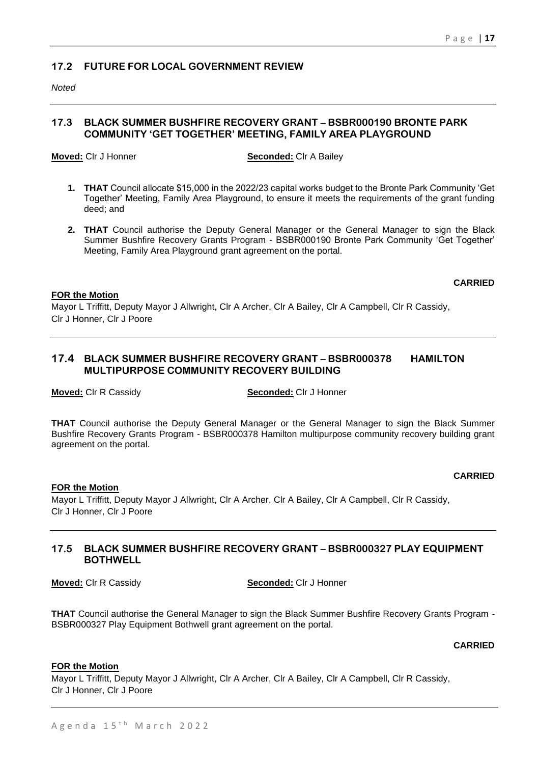## **17.2 FUTURE FOR LOCAL GOVERNMENT REVIEW**

*Noted* 

## **17.3 BLACK SUMMER BUSHFIRE RECOVERY GRANT – BSBR000190 BRONTE PARK COMMUNITY 'GET TOGETHER' MEETING, FAMILY AREA PLAYGROUND**

**Moved:** Clr J Honner **Seconded:** Clr A Bailey

- **1. THAT** Council allocate \$15,000 in the 2022/23 capital works budget to the Bronte Park Community 'Get Together' Meeting, Family Area Playground, to ensure it meets the requirements of the grant funding deed; and
- **2. THAT** Council authorise the Deputy General Manager or the General Manager to sign the Black Summer Bushfire Recovery Grants Program - BSBR000190 Bronte Park Community 'Get Together' Meeting, Family Area Playground grant agreement on the portal.

#### **CARRIED**

#### **FOR the Motion**

Mayor L Triffitt, Deputy Mayor J Allwright, Clr A Archer, Clr A Bailey, Clr A Campbell, Clr R Cassidy, Clr J Honner, Clr J Poore

## **17.4 BLACK SUMMER BUSHFIRE RECOVERY GRANT – BSBR000378 HAMILTON MULTIPURPOSE COMMUNITY RECOVERY BUILDING**

**Moved:** Clr R Cassidy **Seconded:** Clr J Honner

**THAT** Council authorise the Deputy General Manager or the General Manager to sign the Black Summer Bushfire Recovery Grants Program - BSBR000378 Hamilton multipurpose community recovery building grant agreement on the portal.

## **CARRIED**

## **FOR the Motion**

Mayor L Triffitt, Deputy Mayor J Allwright, Clr A Archer, Clr A Bailey, Clr A Campbell, Clr R Cassidy, Clr J Honner, Clr J Poore

## **17.5 BLACK SUMMER BUSHFIRE RECOVERY GRANT – BSBR000327 PLAY EQUIPMENT BOTHWELL**

**Moved:** Clr R Cassidy **Seconded:** Clr J Honner

**THAT** Council authorise the General Manager to sign the Black Summer Bushfire Recovery Grants Program - BSBR000327 Play Equipment Bothwell grant agreement on the portal.

## **CARRIED**

#### **FOR the Motion**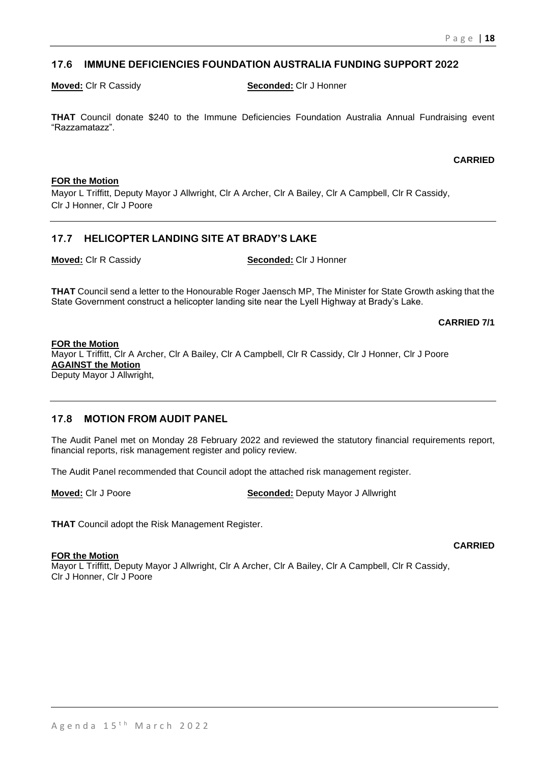## **17.6 IMMUNE DEFICIENCIES FOUNDATION AUSTRALIA FUNDING SUPPORT 2022**

**Moved:** Clr R Cassidy **Seconded:** Clr J Honner

**THAT** Council donate \$240 to the Immune Deficiencies Foundation Australia Annual Fundraising event "Razzamatazz".

#### **CARRIED**

#### **FOR the Motion**

Mayor L Triffitt, Deputy Mayor J Allwright, Clr A Archer, Clr A Bailey, Clr A Campbell, Clr R Cassidy, Clr J Honner, Clr J Poore

## **17.7 HELICOPTER LANDING SITE AT BRADY'S LAKE**

**Moved:** Clr R Cassidy **Seconded:** Clr J Honner

**THAT** Council send a letter to the Honourable Roger Jaensch MP, The Minister for State Growth asking that the State Government construct a helicopter landing site near the Lyell Highway at Brady's Lake.

**CARRIED 7/1**

#### **FOR the Motion**

Mayor L Triffitt, Clr A Archer, Clr A Bailey, Clr A Campbell, Clr R Cassidy, Clr J Honner, Clr J Poore **AGAINST the Motion** Deputy Mayor J Allwright,

## **17.8 MOTION FROM AUDIT PANEL**

The Audit Panel met on Monday 28 February 2022 and reviewed the statutory financial requirements report, financial reports, risk management register and policy review.

The Audit Panel recommended that Council adopt the attached risk management register.

**Moved:** Clr J Poore **Seconded:** Deputy Mayor J Allwright

**THAT** Council adopt the Risk Management Register.

#### **FOR the Motion**

Mayor L Triffitt, Deputy Mayor J Allwright, Clr A Archer, Clr A Bailey, Clr A Campbell, Clr R Cassidy, Clr J Honner, Clr J Poore

#### **CARRIED**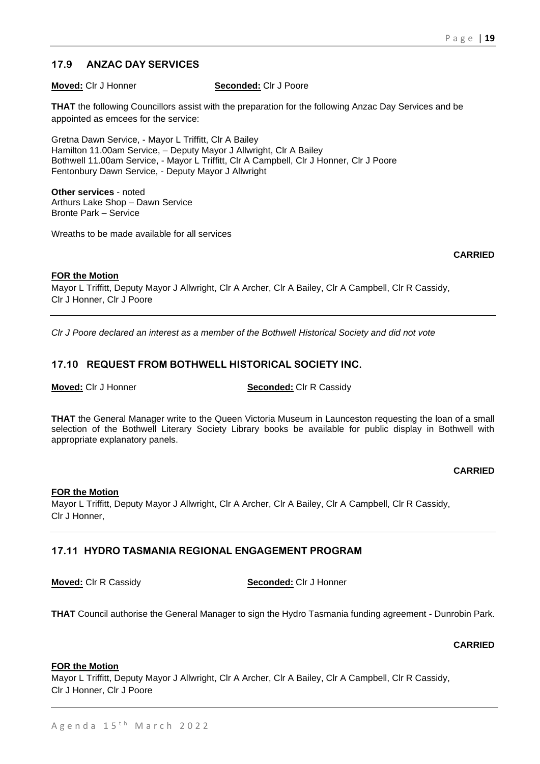## **17.9 ANZAC DAY SERVICES**

**Moved:** Clr J Honner **Seconded:** Clr J Poore

**THAT** the following Councillors assist with the preparation for the following Anzac Day Services and be appointed as emcees for the service:

Gretna Dawn Service, - Mayor L Triffitt, Clr A Bailey Hamilton 11.00am Service, – Deputy Mayor J Allwright, Clr A Bailey Bothwell 11.00am Service, - Mayor L Triffitt, Clr A Campbell, Clr J Honner, Clr J Poore Fentonbury Dawn Service, - Deputy Mayor J Allwright

**Other services** - noted Arthurs Lake Shop – Dawn Service Bronte Park – Service

Wreaths to be made available for all services

**CARRIED**

## **FOR the Motion**

Mayor L Triffitt, Deputy Mayor J Allwright, Clr A Archer, Clr A Bailey, Clr A Campbell, Clr R Cassidy, Clr J Honner, Clr J Poore

*Clr J Poore declared an interest as a member of the Bothwell Historical Society and did not vote*

## **17.10 REQUEST FROM BOTHWELL HISTORICAL SOCIETY INC.**

**Moved:** Clr J Honner **Seconded:** Clr R Cassidy

**THAT** the General Manager write to the Queen Victoria Museum in Launceston requesting the loan of a small selection of the Bothwell Literary Society Library books be available for public display in Bothwell with appropriate explanatory panels.

## **CARRIED**

## **FOR the Motion**

Mayor L Triffitt, Deputy Mayor J Allwright, Clr A Archer, Clr A Bailey, Clr A Campbell, Clr R Cassidy, Clr J Honner,

## **17.11 HYDRO TASMANIA REGIONAL ENGAGEMENT PROGRAM**

**Moved:** Clr R Cassidy **Seconded:** Clr J Honner

**THAT** Council authorise the General Manager to sign the Hydro Tasmania funding agreement - Dunrobin Park.

## **CARRIED**

#### **FOR the Motion**